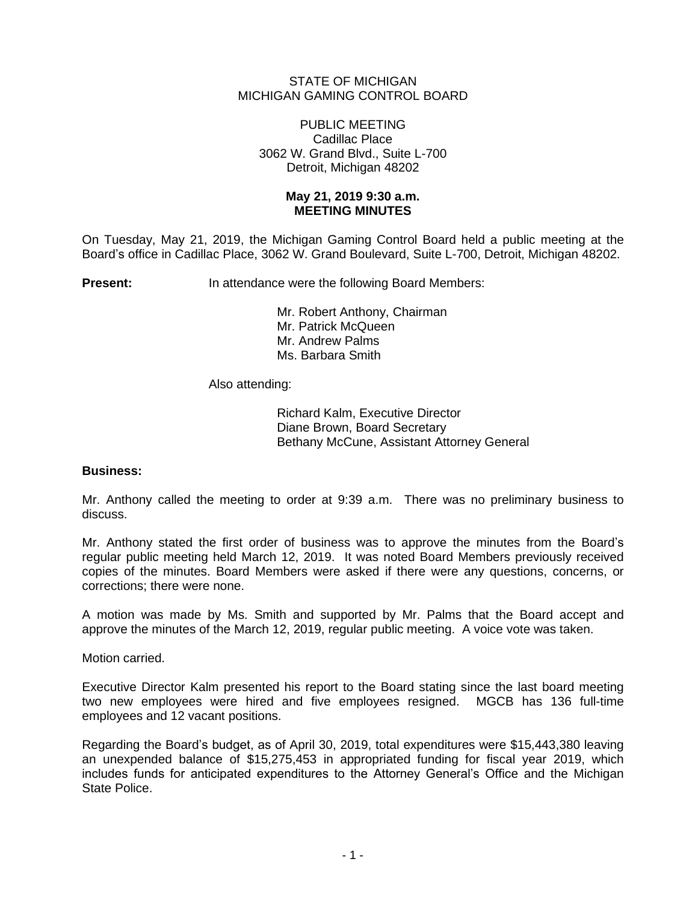## STATE OF MICHIGAN MICHIGAN GAMING CONTROL BOARD

### PUBLIC MEETING Cadillac Place 3062 W. Grand Blvd., Suite L-700 Detroit, Michigan 48202

### **May 21, 2019 9:30 a.m. MEETING MINUTES**

On Tuesday, May 21, 2019, the Michigan Gaming Control Board held a public meeting at the Board's office in Cadillac Place, 3062 W. Grand Boulevard, Suite L-700, Detroit, Michigan 48202.

**Present:** In attendance were the following Board Members:

Mr. Robert Anthony, Chairman Mr. Patrick McQueen Mr. Andrew Palms Ms. Barbara Smith

Also attending:

Richard Kalm, Executive Director Diane Brown, Board Secretary Bethany McCune, Assistant Attorney General

# **Business:**

Mr. Anthony called the meeting to order at 9:39 a.m. There was no preliminary business to discuss.

Mr. Anthony stated the first order of business was to approve the minutes from the Board's regular public meeting held March 12, 2019. It was noted Board Members previously received copies of the minutes. Board Members were asked if there were any questions, concerns, or corrections; there were none.

A motion was made by Ms. Smith and supported by Mr. Palms that the Board accept and approve the minutes of the March 12, 2019, regular public meeting. A voice vote was taken.

Motion carried.

Executive Director Kalm presented his report to the Board stating since the last board meeting two new employees were hired and five employees resigned. MGCB has 136 full-time employees and 12 vacant positions.

Regarding the Board's budget, as of April 30, 2019, total expenditures were \$15,443,380 leaving an unexpended balance of \$15,275,453 in appropriated funding for fiscal year 2019, which includes funds for anticipated expenditures to the Attorney General's Office and the Michigan State Police.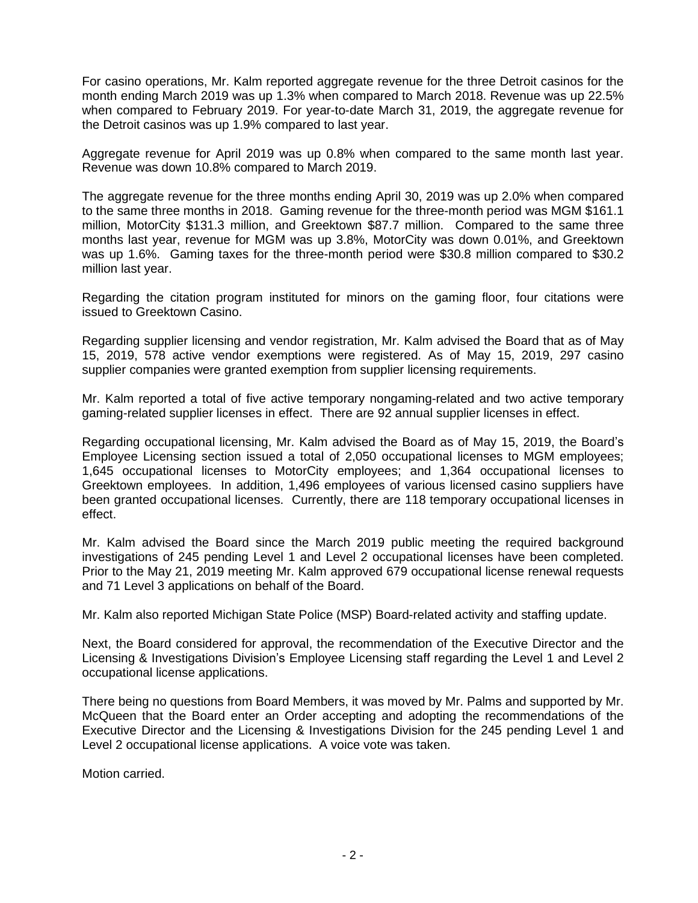For casino operations, Mr. Kalm reported aggregate revenue for the three Detroit casinos for the month ending March 2019 was up 1.3% when compared to March 2018. Revenue was up 22.5% when compared to February 2019. For year-to-date March 31, 2019, the aggregate revenue for the Detroit casinos was up 1.9% compared to last year.

Aggregate revenue for April 2019 was up 0.8% when compared to the same month last year. Revenue was down 10.8% compared to March 2019.

The aggregate revenue for the three months ending April 30, 2019 was up 2.0% when compared to the same three months in 2018. Gaming revenue for the three-month period was MGM \$161.1 million, MotorCity \$131.3 million, and Greektown \$87.7 million. Compared to the same three months last year, revenue for MGM was up 3.8%, MotorCity was down 0.01%, and Greektown was up 1.6%. Gaming taxes for the three-month period were \$30.8 million compared to \$30.2 million last year.

Regarding the citation program instituted for minors on the gaming floor, four citations were issued to Greektown Casino.

Regarding supplier licensing and vendor registration, Mr. Kalm advised the Board that as of May 15, 2019, 578 active vendor exemptions were registered. As of May 15, 2019, 297 casino supplier companies were granted exemption from supplier licensing requirements.

Mr. Kalm reported a total of five active temporary nongaming-related and two active temporary gaming-related supplier licenses in effect. There are 92 annual supplier licenses in effect.

Regarding occupational licensing, Mr. Kalm advised the Board as of May 15, 2019, the Board's Employee Licensing section issued a total of 2,050 occupational licenses to MGM employees; 1,645 occupational licenses to MotorCity employees; and 1,364 occupational licenses to Greektown employees. In addition, 1,496 employees of various licensed casino suppliers have been granted occupational licenses. Currently, there are 118 temporary occupational licenses in effect.

Mr. Kalm advised the Board since the March 2019 public meeting the required background investigations of 245 pending Level 1 and Level 2 occupational licenses have been completed. Prior to the May 21, 2019 meeting Mr. Kalm approved 679 occupational license renewal requests and 71 Level 3 applications on behalf of the Board.

Mr. Kalm also reported Michigan State Police (MSP) Board-related activity and staffing update.

Next, the Board considered for approval, the recommendation of the Executive Director and the Licensing & Investigations Division's Employee Licensing staff regarding the Level 1 and Level 2 occupational license applications.

There being no questions from Board Members, it was moved by Mr. Palms and supported by Mr. McQueen that the Board enter an Order accepting and adopting the recommendations of the Executive Director and the Licensing & Investigations Division for the 245 pending Level 1 and Level 2 occupational license applications. A voice vote was taken.

Motion carried.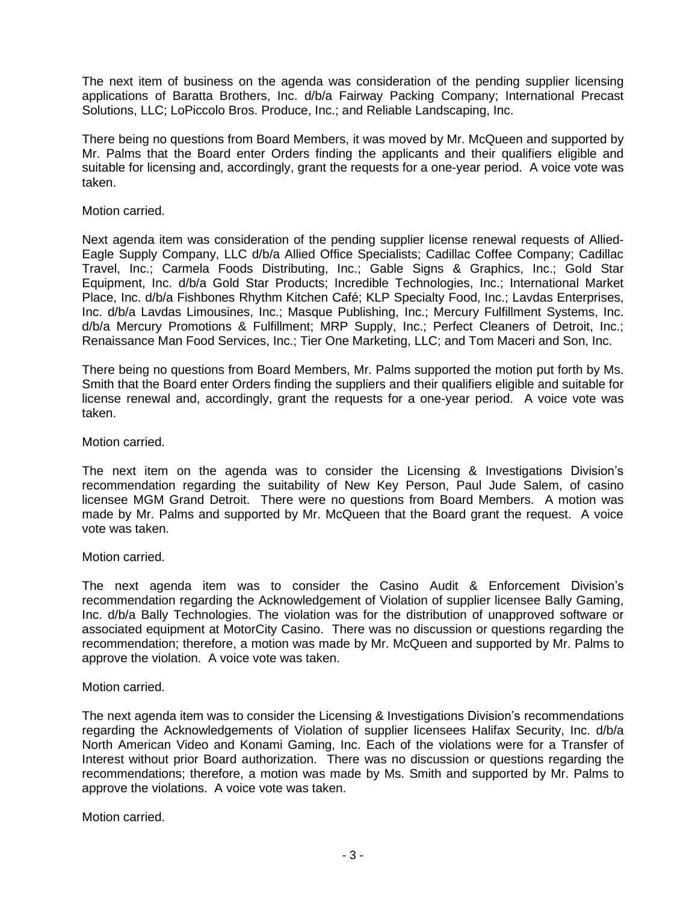The next item of business on the agenda was consideration of the pending supplier licensing applications of Baratta Brothers, Inc. d/b/a Fairway Packing Company; International Precast Solutions, LLC; LoPiccolo Bros. Produce, Inc.; and Reliable Landscaping, Inc.

There being no questions from Board Members, it was moved by Mr. McQueen and supported by Mr. Palms that the Board enter Orders finding the applicants and their qualifiers eligible and suitable for licensing and, accordingly, grant the requests for a one-year period. A voice vote was taken.

### Motion carried.

Next agenda item was consideration of the pending supplier license renewal requests of Allied-Eagle Supply Company, LLC d/b/a Allied Office Specialists; Cadillac Coffee Company; Cadillac Travel, Inc.; Carmela Foods Distributing, Inc.; Gable Signs & Graphics, Inc.; Gold Star Equipment, Inc. d/b/a Gold Star Products; Incredible Technologies, Inc.; International Market Place, Inc. d/b/a Fishbones Rhythm Kitchen Café; KLP Specialty Food, Inc.; Lavdas Enterprises, Inc. d/b/a Lavdas Limousines, Inc.; Masque Publishing, Inc.; Mercury Fulfillment Systems, Inc. d/b/a Mercury Promotions & Fulfillment; MRP Supply, Inc.; Perfect Cleaners of Detroit, Inc.; Renaissance Man Food Services, Inc.; Tier One Marketing, LLC; and Tom Maceri and Son, Inc.

There being no questions from Board Members, Mr. Palms supported the motion put forth by Ms. Smith that the Board enter Orders finding the suppliers and their qualifiers eligible and suitable for license renewal and, accordingly, grant the requests for a one-year period. A voice vote was taken.

## Motion carried.

The next item on the agenda was to consider the Licensing & Investigations Division's recommendation regarding the suitability of New Key Person, Paul Jude Salem, of casino licensee MGM Grand Detroit. There were no questions from Board Members. A motion was made by Mr. Palms and supported by Mr. McQueen that the Board grant the request. A voice vote was taken.

### Motion carried.

The next agenda item was to consider the Casino Audit & Enforcement Division's recommendation regarding the Acknowledgement of Violation of supplier licensee Bally Gaming, Inc. d/b/a Bally Technologies. The violation was for the distribution of unapproved software or associated equipment at MotorCity Casino. There was no discussion or questions regarding the recommendation; therefore, a motion was made by Mr. McQueen and supported by Mr. Palms to approve the violation. A voice vote was taken.

### Motion carried.

The next agenda item was to consider the Licensing & Investigations Division's recommendations regarding the Acknowledgements of Violation of supplier licensees Halifax Security, Inc. d/b/a North American Video and Konami Gaming, Inc. Each of the violations were for a Transfer of Interest without prior Board authorization. There was no discussion or questions regarding the recommendations; therefore, a motion was made by Ms. Smith and supported by Mr. Palms to approve the violations. A voice vote was taken.

Motion carried.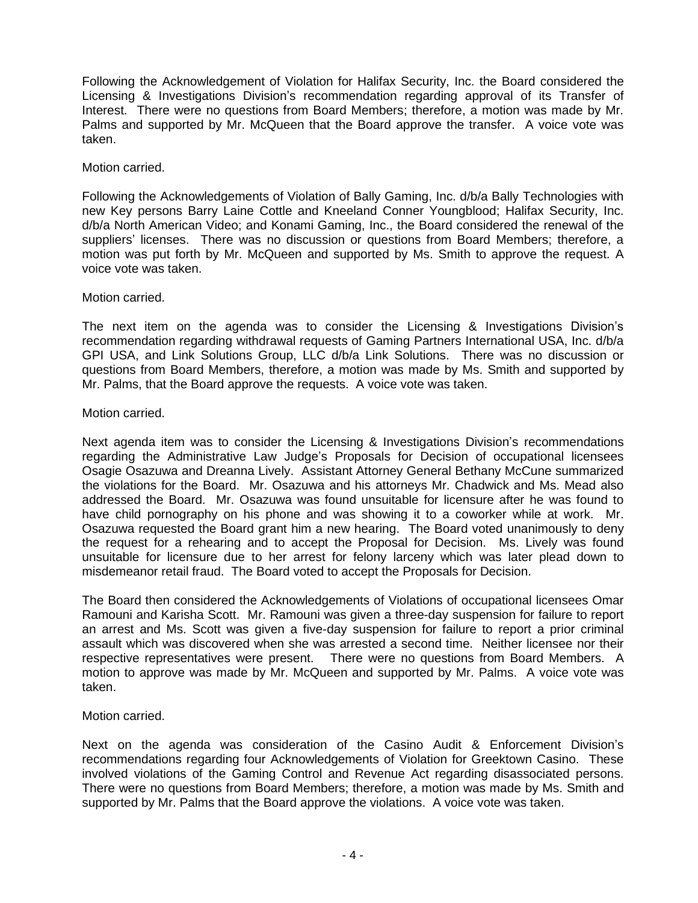Following the Acknowledgement of Violation for Halifax Security, Inc. the Board considered the Licensing & Investigations Division's recommendation regarding approval of its Transfer of Interest. There were no questions from Board Members; therefore, a motion was made by Mr. Palms and supported by Mr. McQueen that the Board approve the transfer. A voice vote was taken.

# Motion carried.

Following the Acknowledgements of Violation of Bally Gaming, Inc. d/b/a Bally Technologies with new Key persons Barry Laine Cottle and Kneeland Conner Youngblood; Halifax Security, Inc. d/b/a North American Video; and Konami Gaming, Inc., the Board considered the renewal of the suppliers' licenses. There was no discussion or questions from Board Members; therefore, a motion was put forth by Mr. McQueen and supported by Ms. Smith to approve the request. A voice vote was taken.

## Motion carried.

The next item on the agenda was to consider the Licensing & Investigations Division's recommendation regarding withdrawal requests of Gaming Partners International USA, Inc. d/b/a GPI USA, and Link Solutions Group, LLC d/b/a Link Solutions. There was no discussion or questions from Board Members, therefore, a motion was made by Ms. Smith and supported by Mr. Palms, that the Board approve the requests. A voice vote was taken.

## Motion carried.

Next agenda item was to consider the Licensing & Investigations Division's recommendations regarding the Administrative Law Judge's Proposals for Decision of occupational licensees Osagie Osazuwa and Dreanna Lively. Assistant Attorney General Bethany McCune summarized the violations for the Board. Mr. Osazuwa and his attorneys Mr. Chadwick and Ms. Mead also addressed the Board. Mr. Osazuwa was found unsuitable for licensure after he was found to have child pornography on his phone and was showing it to a coworker while at work. Mr. Osazuwa requested the Board grant him a new hearing. The Board voted unanimously to deny the request for a rehearing and to accept the Proposal for Decision. Ms. Lively was found unsuitable for licensure due to her arrest for felony larceny which was later plead down to misdemeanor retail fraud. The Board voted to accept the Proposals for Decision.

The Board then considered the Acknowledgements of Violations of occupational licensees Omar Ramouni and Karisha Scott. Mr. Ramouni was given a three-day suspension for failure to report an arrest and Ms. Scott was given a five-day suspension for failure to report a prior criminal assault which was discovered when she was arrested a second time. Neither licensee nor their respective representatives were present. There were no questions from Board Members. A motion to approve was made by Mr. McQueen and supported by Mr. Palms. A voice vote was taken.

# Motion carried.

Next on the agenda was consideration of the Casino Audit & Enforcement Division's recommendations regarding four Acknowledgements of Violation for Greektown Casino. These involved violations of the Gaming Control and Revenue Act regarding disassociated persons. There were no questions from Board Members; therefore, a motion was made by Ms. Smith and supported by Mr. Palms that the Board approve the violations. A voice vote was taken.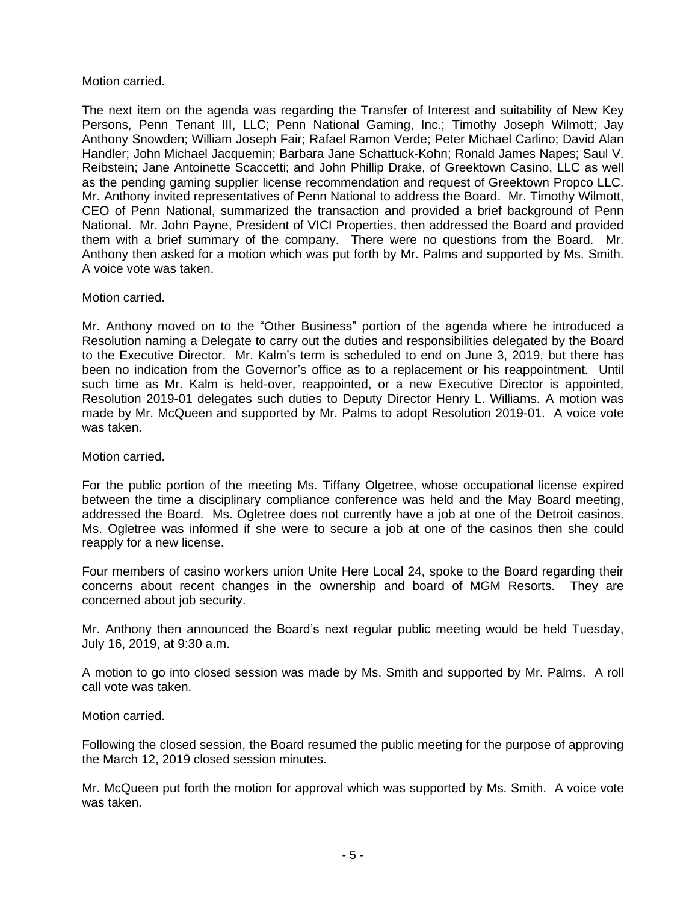## Motion carried.

The next item on the agenda was regarding the Transfer of Interest and suitability of New Key Persons, Penn Tenant III, LLC; Penn National Gaming, Inc.; Timothy Joseph Wilmott; Jay Anthony Snowden; William Joseph Fair; Rafael Ramon Verde; Peter Michael Carlino; David Alan Handler; John Michael Jacquemin; Barbara Jane Schattuck-Kohn; Ronald James Napes; Saul V. Reibstein; Jane Antoinette Scaccetti; and John Phillip Drake, of Greektown Casino, LLC as well as the pending gaming supplier license recommendation and request of Greektown Propco LLC. Mr. Anthony invited representatives of Penn National to address the Board. Mr. Timothy Wilmott, CEO of Penn National, summarized the transaction and provided a brief background of Penn National. Mr. John Payne, President of VICI Properties, then addressed the Board and provided them with a brief summary of the company. There were no questions from the Board. Mr. Anthony then asked for a motion which was put forth by Mr. Palms and supported by Ms. Smith. A voice vote was taken.

## Motion carried.

Mr. Anthony moved on to the "Other Business" portion of the agenda where he introduced a Resolution naming a Delegate to carry out the duties and responsibilities delegated by the Board to the Executive Director. Mr. Kalm's term is scheduled to end on June 3, 2019, but there has been no indication from the Governor's office as to a replacement or his reappointment. Until such time as Mr. Kalm is held-over, reappointed, or a new Executive Director is appointed, Resolution 2019-01 delegates such duties to Deputy Director Henry L. Williams. A motion was made by Mr. McQueen and supported by Mr. Palms to adopt Resolution 2019-01. A voice vote was taken.

### Motion carried.

For the public portion of the meeting Ms. Tiffany Olgetree, whose occupational license expired between the time a disciplinary compliance conference was held and the May Board meeting, addressed the Board. Ms. Ogletree does not currently have a job at one of the Detroit casinos. Ms. Ogletree was informed if she were to secure a job at one of the casinos then she could reapply for a new license.

Four members of casino workers union Unite Here Local 24, spoke to the Board regarding their concerns about recent changes in the ownership and board of MGM Resorts. They are concerned about job security.

Mr. Anthony then announced the Board's next regular public meeting would be held Tuesday, July 16, 2019, at 9:30 a.m.

A motion to go into closed session was made by Ms. Smith and supported by Mr. Palms. A roll call vote was taken.

### Motion carried.

Following the closed session, the Board resumed the public meeting for the purpose of approving the March 12, 2019 closed session minutes.

Mr. McQueen put forth the motion for approval which was supported by Ms. Smith. A voice vote was taken.